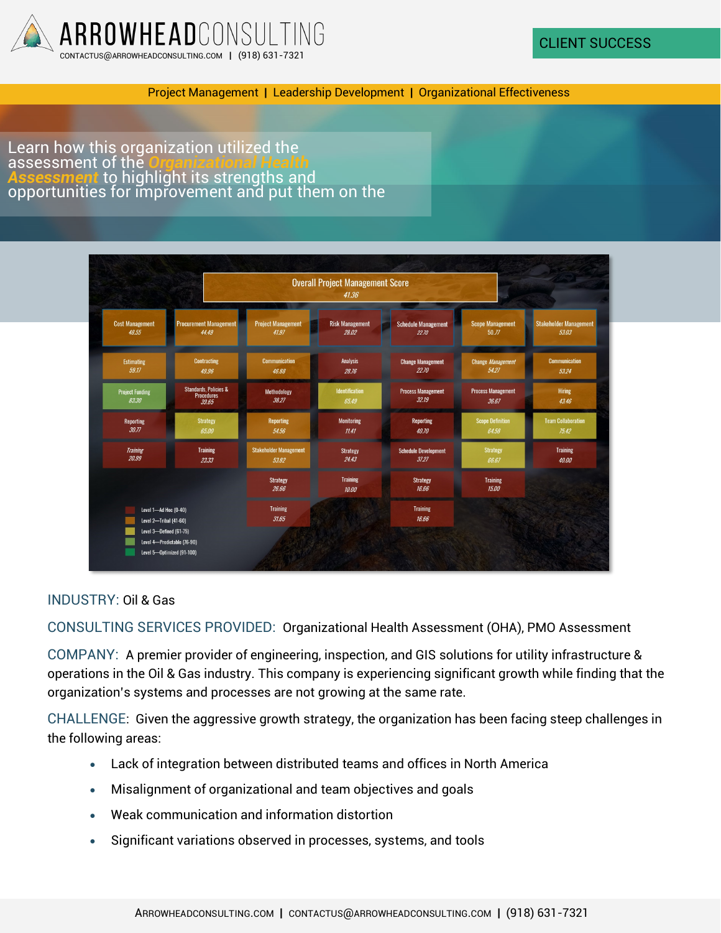

Project Management **|** Leadership Development **|** Organizational Effectiveness

Learn how this organization utilized the assessment of the *Organizational Health ment* to highlight its strengths and opportunities for improvement and put them on the

|                                                 |                                                                | <b>Overall Project Management Score</b><br>41.36 |                                 |                                      |                                    |                                        |
|-------------------------------------------------|----------------------------------------------------------------|--------------------------------------------------|---------------------------------|--------------------------------------|------------------------------------|----------------------------------------|
| <b>Cost Management</b><br>48.55                 | <b>Procurement Management</b><br>44.49                         | <b>Project Management</b><br>41.97               | <b>Risk Management</b><br>28.02 | <b>Schedule Management</b><br>22.70  | <b>Scope Management</b><br>50.77   | <b>Stakeholder Management</b><br>53.03 |
| <b>Estimating</b><br>59.17                      | <b>Contracting</b><br>49.96                                    | <b>Communication</b><br>46.88                    | <b>Analysis</b><br>28.76        | <b>Change Management</b><br>22.70    | Change Management<br>54.27         | <b>Communication</b><br>53.24          |
| <b>Project Funding</b><br>83.30                 | <b>Standards, Policies &amp;</b><br><b>Procedures</b><br>39.65 | Methodology<br>38.27                             | <b>Identification</b><br>65.49  | <b>Process Management</b><br>32.19   | <b>Process Management</b><br>36.67 | <b>Hiring</b><br>43.46                 |
| Reporting<br>30.77                              | <b>Strategy</b><br>65.00                                       | Reporting<br>54.56                               | Monitoring<br>11.41             | Reporting<br>40.70                   | <b>Scope Definition</b><br>64.58   | <b>Team Collaboration</b><br>75.42     |
| <b>Training</b><br>20.99                        | <b>Training</b><br>23.33                                       | <b>Stakeholder Management</b><br>53.82           | <b>Strategy</b><br>24.43        | <b>Schedule Development</b><br>37.27 | <b>Strategy</b><br>66.67           | <b>Training</b><br>40.00               |
|                                                 |                                                                | <b>Strategy</b><br>26.66                         | <b>Training</b><br>10.00        | <b>Strategy</b><br>16.66             | <b>Training</b><br>15.00           |                                        |
| Level 1-Ad Hoc (0-40)<br>Level 2-Tribal (41-60) |                                                                | <b>Training</b><br>31.65                         |                                 | <b>Training</b><br>16.66             |                                    |                                        |
| Level 3-Defined (61-75)                         | Level 4-Predictable (76-90)<br>Level 5-Optimized (91-100)      |                                                  |                                 |                                      |                                    |                                        |

INDUSTRY: Oil & Gas

CONSULTING SERVICES PROVIDED: Organizational Health Assessment (OHA), PMO Assessment

COMPANY: A premier provider of engineering, inspection, and GIS solutions for utility infrastructure & operations in the Oil & Gas industry. This company is experiencing significant growth while finding that the organization's systems and processes are not growing at the same rate.

CHALLENGE: Given the aggressive growth strategy, the organization has been facing steep challenges in the following areas:

- Lack of integration between distributed teams and offices in North America
- Misalignment of organizational and team objectives and goals
- Weak communication and information distortion
- Significant variations observed in processes, systems, and tools